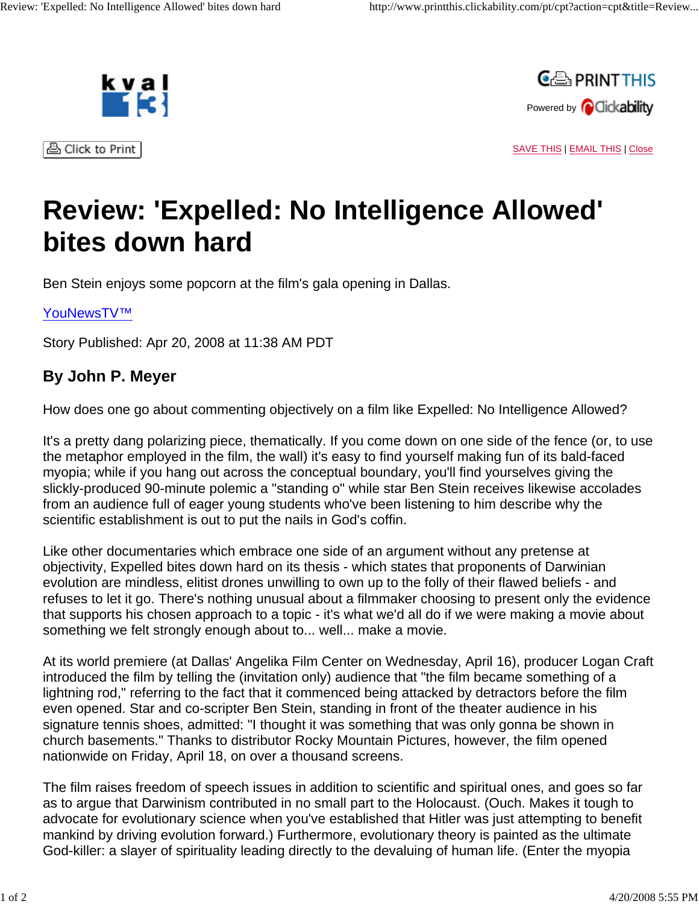



ਣੀ Click to Print

SAVE THIS | EMAIL THIS | Close

## **Review: 'Expelled: No Intelligence Allowed' bites down hard**

Ben Stein enjoys some popcorn at the film's gala opening in Dallas.

## YouNewsTV™

Story Published: Apr 20, 2008 at 11:38 AM PDT

## **By John P. Meyer**

How does one go about commenting objectively on a film like Expelled: No Intelligence Allowed?

It's a pretty dang polarizing piece, thematically. If you come down on one side of the fence (or, to use the metaphor employed in the film, the wall) it's easy to find yourself making fun of its bald-faced myopia; while if you hang out across the conceptual boundary, you'll find yourselves giving the slickly-produced 90-minute polemic a "standing o" while star Ben Stein receives likewise accolades from an audience full of eager young students who've been listening to him describe why the scientific establishment is out to put the nails in God's coffin.

Like other documentaries which embrace one side of an argument without any pretense at objectivity, Expelled bites down hard on its thesis - which states that proponents of Darwinian evolution are mindless, elitist drones unwilling to own up to the folly of their flawed beliefs - and refuses to let it go. There's nothing unusual about a filmmaker choosing to present only the evidence that supports his chosen approach to a topic - it's what we'd all do if we were making a movie about something we felt strongly enough about to... well... make a movie.

At its world premiere (at Dallas' Angelika Film Center on Wednesday, April 16), producer Logan Craft introduced the film by telling the (invitation only) audience that "the film became something of a lightning rod," referring to the fact that it commenced being attacked by detractors before the film even opened. Star and co-scripter Ben Stein, standing in front of the theater audience in his signature tennis shoes, admitted: "I thought it was something that was only gonna be shown in church basements." Thanks to distributor Rocky Mountain Pictures, however, the film opened nationwide on Friday, April 18, on over a thousand screens.

The film raises freedom of speech issues in addition to scientific and spiritual ones, and goes so far as to argue that Darwinism contributed in no small part to the Holocaust. (Ouch. Makes it tough to advocate for evolutionary science when you've established that Hitler was just attempting to benefit mankind by driving evolution forward.) Furthermore, evolutionary theory is painted as the ultimate God-killer: a slayer of spirituality leading directly to the devaluing of human life. (Enter the myopia